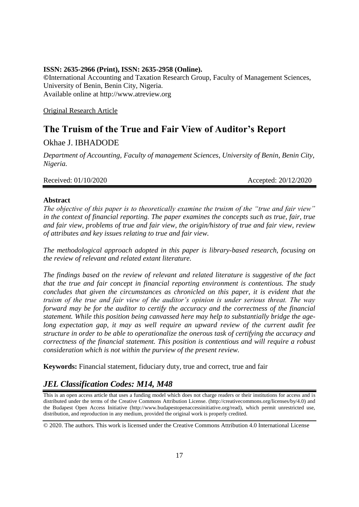### **ISSN: 2635-2966 (Print), ISSN: 2635-2958 (Online).**

**©**International Accounting and Taxation Research Group, Faculty of Management Sciences, University of Benin, Benin City, Nigeria. Available online at http://www.atreview.org

Original Research Article

# **The Truism of the True and Fair View of Auditor's Report**

# Okhae J. IBHADODE

*Department of Accounting, Faculty of management Sciences, University of Benin, Benin City, Nigeria.* 

Received: 01/10/2020 Accepted: 20/12/2020

# **Abstract**

*The objective of this paper is to theoretically examine the truism of the "true and fair view" in the context of financial reporting. The paper examines the concepts such as true, fair, true and fair view, problems of true and fair view, the origin/history of true and fair view, review of attributes and key issues relating to true and fair view.* 

*The methodological approach adopted in this paper is library-based research, focusing on the review of relevant and related extant literature.*

*The findings based on the review of relevant and related literature is suggestive of the fact that the true and fair concept in financial reporting environment is contentious. The study concludes that given the circumstances as chronicled on this paper, it is evident that the truism of the true and fair view of the auditor"s opinion is under serious threat. The way forward may be for the auditor to certify the accuracy and the correctness of the financial statement. While this position being canvassed here may help to substantially bridge the agelong expectation gap, it may as well require an upward review of the current audit fee structure in order to be able to operationalize the onerous task of certifying the accuracy and correctness of the financial statement. This position is contentious and will require a robust consideration which is not within the purview of the present review.*

**Keywords:** Financial statement, fiduciary duty, true and correct, true and fair

# *JEL Classification Codes: M14, M48*

This is an open access article that uses a funding model which does not charge readers or their institutions for access and is distributed under the terms of the Creative Commons Attribution License. (http://creativecommons.org/licenses/by/4.0) and the Budapest Open Access Initiative (http://www.budapestopenaccessinitiative.org/read), which permit unrestricted use, distribution, and reproduction in any medium, provided the original work is properly credited.

© 2020. The authors. This work is licensed under the Creative Commons Attribution 4.0 International License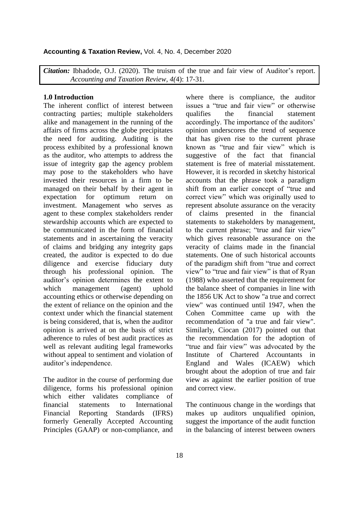#### **Accounting & Taxation Review,** Vol. 4, No. 4, December 2020

*Citation:* Ibhadode, O.J. (2020). The truism of the true and fair view of Auditor's report. *Accounting and Taxation Review, 4(*4): 17-31.

#### **1.0 Introduction**

The inherent conflict of interest between contracting parties; multiple stakeholders alike and management in the running of the affairs of firms across the globe precipitates the need for auditing. Auditing is the process exhibited by a professional known as the auditor, who attempts to address the issue of integrity gap the agency problem may pose to the stakeholders who have invested their resources in a firm to be managed on their behalf by their agent in expectation for optimum return on investment. Management who serves as agent to these complex stakeholders render stewardship accounts which are expected to be communicated in the form of financial statements and in ascertaining the veracity of claims and bridging any integrity gaps created, the auditor is expected to do due diligence and exercise fiduciary duty through his professional opinion. The auditor"s opinion determines the extent to which management (agent) uphold accounting ethics or otherwise depending on the extent of reliance on the opinion and the context under which the financial statement is being considered, that is, when the auditor opinion is arrived at on the basis of strict adherence to rules of best audit practices as well as relevant auditing legal frameworks without appeal to sentiment and violation of auditor"s independence.

The auditor in the course of performing due diligence, forms his professional opinion which either validates compliance of financial statements to International Financial Reporting Standards (IFRS) formerly Generally Accepted Accounting Principles (GAAP) or non-compliance, and

where there is compliance, the auditor issues a "true and fair view" or otherwise qualifies the financial statement accordingly. The importance of the auditors' opinion underscores the trend of sequence that has given rise to the current phrase known as "true and fair view" which is suggestive of the fact that financial statement is free of material misstatement. However, it is recorded in sketchy historical accounts that the phrase took a paradigm shift from an earlier concept of "true and correct view" which was originally used to represent absolute assurance on the veracity of claims presented in the financial statements to stakeholders by management, to the current phrase; "true and fair view" which gives reasonable assurance on the veracity of claims made in the financial statements. One of such historical accounts of the paradigm shift from "true and correct view" to "true and fair view" is that of Ryan (1988) who asserted that the requirement for the balance sheet of companies in line with the 1856 UK Act to show "a true and correct view" was continued until 1947, when the Cohen Committee came up with the recommendation of "a true and fair view". Similarly, Ciocan (2017) pointed out that the recommendation for the adoption of "true and fair view" was advocated by the Institute of Chartered Accountants in England and Wales (ICAEW) which brought about the adoption of true and fair view as against the earlier position of true and correct view.

The continuous change in the wordings that makes up auditors unqualified opinion, suggest the importance of the audit function in the balancing of interest between owners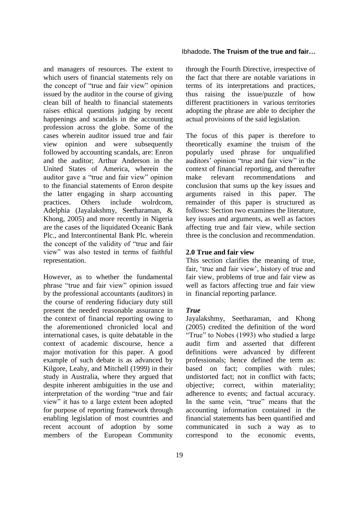and managers of resources. The extent to which users of financial statements rely on the concept of "true and fair view" opinion issued by the auditor in the course of giving clean bill of health to financial statements raises ethical questions judging by recent happenings and scandals in the accounting profession across the globe. Some of the cases wherein auditor issued true and fair view opinion and were subsequently followed by accounting scandals, are: Enron and the auditor; Arthur Anderson in the United States of America, wherein the auditor gave a "true and fair view" opinion to the financial statements of Enron despite the latter engaging in sharp accounting practices. Others include wolrdcom, Adelphia (Jayalakshmy, Seetharaman, & Khong, 2005) and more recently in Nigeria are the cases of the liquidated Oceanic Bank Plc., and Intercontinental Bank Plc. wherein the concept of the validity of "true and fair view" was also tested in terms of faithful representation.

However, as to whether the fundamental phrase "true and fair view" opinion issued by the professional accountants (auditors) in the course of rendering fiduciary duty still present the needed reasonable assurance in the context of financial reporting owing to the aforementioned chronicled local and international cases, is quite debatable in the context of academic discourse, hence a major motivation for this paper. A good example of such debate is as advanced by Kilgore, Leahy, and Mitchell (1999) in their study in Australia, where they argued that despite inherent ambiguities in the use and interpretation of the wording "true and fair view" it has to a large extent been adopted for purpose of reporting framework through enabling legislation of most countries and recent account of adoption by some members of the European Community

through the Fourth Directive, irrespective of the fact that there are notable variations in terms of its interpretations and practices, thus raising the issue/puzzle of how different practitioners in various territories adopting the phrase are able to decipher the actual provisions of the said legislation.

The focus of this paper is therefore to theoretically examine the truism of the popularly used phrase for unqualified auditors" opinion "true and fair view" in the context of financial reporting, and thereafter make relevant recommendations and conclusion that sums up the key issues and arguments raised in this paper. The remainder of this paper is structured as follows: Section two examines the literature, key issues and arguments, as well as factors affecting true and fair view, while section three is the conclusion and recommendation.

#### **2.0 True and fair view**

This section clarifies the meaning of true, fair, "true and fair view", history of true and fair view, problems of true and fair view as well as factors affecting true and fair view in financial reporting parlance.

#### *True*

Jayalakshmy, Seetharaman, and Khong (2005) credited the definition of the word "True" to Nobes (1993) who studied a large audit firm and asserted that different definitions were advanced by different professionals; hence defined the term as: based on fact; complies with rules; undistorted fact; not in conflict with facts; objective; correct, within materiality; adherence to events; and factual accuracy. In the same vein, "true" means that the accounting information contained in the financial statements has been quantified and communicated in such a way as to correspond to the economic events,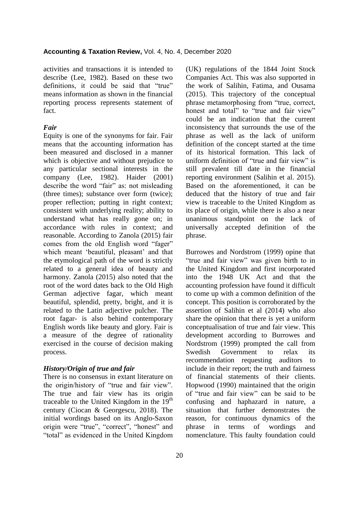activities and transactions it is intended to describe (Lee, 1982). Based on these two definitions, it could be said that "true" means information as shown in the financial reporting process represents statement of fact.

#### *Fair*

Equity is one of the synonyms for fair. Fair means that the accounting information has been measured and disclosed in a manner which is objective and without prejudice to any particular sectional interests in the company (Lee, 1982). Haider (2001) describe the word "fair" as: not misleading (three times); substance over form (twice); proper reflection; putting in right context; consistent with underlying reality; ability to understand what has really gone on; in accordance with rules in context; and reasonable. According to Zanola (2015) fair comes from the old English word "fager" which meant 'beautiful, pleasant' and that the etymological path of the word is strictly related to a general idea of beauty and harmony. Zanola (2015) also noted that the root of the word dates back to the Old High German adjective fagar, which meant beautiful, splendid, pretty, bright, and it is related to the Latin adjective pulcher. The root fagar- is also behind contemporary English words like beauty and glory. Fair is a measure of the degree of rationality exercised in the course of decision making process.

#### *History/Origin of true and fair*

There is no consensus in extant literature on the origin/history of "true and fair view". The true and fair view has its origin traceable to the United Kingdom in the  $19<sup>th</sup>$ century (Ciocan & Georgescu, 2018). The initial wordings based on its Anglo-Saxon origin were "true", "correct", "honest" and "total" as evidenced in the United Kingdom

20

(UK) regulations of the 1844 Joint Stock Companies Act. This was also supported in the work of Salihin, Fatima, and Ousama (2015). This trajectory of the conceptual phrase metamorphosing from "true, correct, honest and total" to "true and fair view" could be an indication that the current inconsistency that surrounds the use of the phrase as well as the lack of uniform definition of the concept started at the time of its historical formation. This lack of uniform definition of "true and fair view" is still prevalent till date in the financial reporting environment (Salihin et al. 2015). Based on the aforementioned, it can be deduced that the history of true and fair view is traceable to the United Kingdom as its place of origin, while there is also a near unanimous standpoint on the lack of universally accepted definition of the phrase.

Burrowes and Nordstrom (1999) opine that "true and fair view" was given birth to in the United Kingdom and first incorporated into the 1948 UK Act and that the accounting profession have found it difficult to come up with a common definition of the concept. This position is corroborated by the assertion of Salihin et al (2014) who also share the opinion that there is yet a uniform conceptualisation of true and fair view. This development according to Burrowes and Nordstrom (1999) prompted the call from Swedish Government to relax its recommendation requesting auditors to include in their report; the truth and fairness of financial statements of their clients. Hopwood (1990) maintained that the origin of "true and fair view" can be said to be confusing and haphazard in nature, a situation that further demonstrates the reason, for continuous dynamics of the phrase in terms of wordings and nomenclature. This faulty foundation could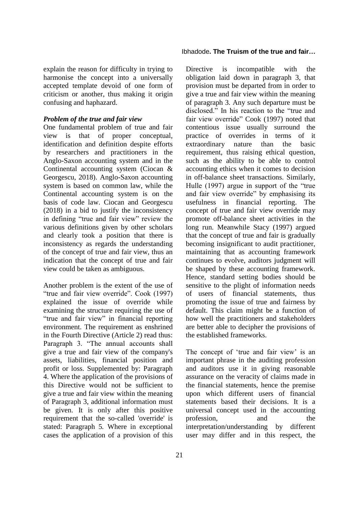explain the reason for difficulty in trying to harmonise the concept into a universally accepted template devoid of one form of criticism or another, thus making it origin confusing and haphazard.

#### *Problem of the true and fair view*

One fundamental problem of true and fair view is that of proper conceptual, identification and definition despite efforts by researchers and practitioners in the Anglo-Saxon accounting system and in the Continental accounting system (Ciocan & Georgescu, 2018). Anglo-Saxon accounting system is based on common law, while the Continental accounting system is on the basis of code law. Ciocan and Georgescu (2018) in a bid to justify the inconsistency in defining "true and fair view" review the various definitions given by other scholars and clearly took a position that there is inconsistency as regards the understanding of the concept of true and fair view, thus an indication that the concept of true and fair view could be taken as ambiguous.

Another problem is the extent of the use of "true and fair view override". Cook (1997) explained the issue of override while examining the structure requiring the use of "true and fair view" in financial reporting environment. The requirement as enshrined in the Fourth Directive (Article 2) read thus: Paragraph 3. "The annual accounts shall give a true and fair view of the company's assets, liabilities, financial position and profit or loss. Supplemented by: Paragraph 4. Where the application of the provisions of this Directive would not be sufficient to give a true and fair view within the meaning of Paragraph 3, additional information must be given. It is only after this positive requirement that the so-called 'override' is stated: Paragraph 5*.* Where in exceptional cases the application of a provision of this

#### Ibhadode**. The Truism of the true and fair…**

Directive is incompatible with the obligation laid down in paragraph 3, that provision must be departed from in order to give a true and fair view within the meaning of paragraph 3. Any such departure must be disclosed." In his reaction to the "true and fair view override" Cook (1997) noted that contentious issue usually surround the practice of overrides in terms of it extraordinary nature than the basic requirement, thus raising ethical question, such as the ability to be able to control accounting ethics when it comes to decision in off-balance sheet transactions. Similarly, Hulle (1997) argue in support of the "true and fair view override" by emphasising its usefulness in financial reporting. The concept of true and fair view override may promote off-balance sheet activities in the long run. Meanwhile Stacy (1997) argued that the concept of true and fair is gradually becoming insignificant to audit practitioner, maintaining that as accounting framework continues to evolve, auditors judgment will be shaped by these accounting framework. Hence, standard setting bodies should be sensitive to the plight of information needs of users of financial statements, thus promoting the issue of true and fairness by default. This claim might be a function of how well the practitioners and stakeholders are better able to decipher the provisions of the established frameworks.

The concept of 'true and fair view' is an important phrase in the auditing profession and auditors use it in giving reasonable assurance on the veracity of claims made in the financial statements, hence the premise upon which different users of financial statements based their decisions. It is a universal concept used in the accounting profession, and the interpretation/understanding by different user may differ and in this respect, the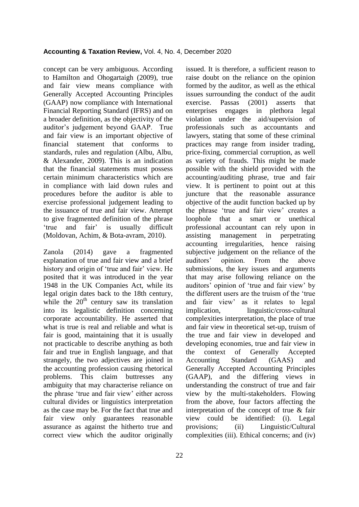concept can be very ambiguous. According to Hamilton and Ohogartaigh (2009), true and fair view means compliance with Generally Accepted Accounting Principles (GAAP) now compliance with International Financial Reporting Standard (IFRS) and on a broader definition, as the objectivity of the auditor"s judgement beyond GAAP. True and fair view is an important objective of financial statement that conforms to standards, rules and regulation (Albu, Albu, & Alexander, 2009). This is an indication that the financial statements must possess certain minimum characteristics which are in compliance with laid down rules and procedures before the auditor is able to exercise professional judgement leading to the issuance of true and fair view. Attempt to give fragmented definition of the phrase "true and fair" is usually difficult (Moldovan, Achim, & Bota-avram, 2010).

Zanola (2014) gave a fragmented explanation of true and fair view and a brief history and origin of 'true and fair' view. He posited that it was introduced in the year 1948 in the UK Companies Act, while its legal origin dates back to the 18th century, while the  $20<sup>th</sup>$  century saw its translation into its legalistic definition concerning corporate accountability. He asserted that what is true is real and reliable and what is fair is good, maintaining that it is usually not practicable to describe anything as both fair and true in English language, and that strangely, the two adjectives are joined in the accounting profession causing rhetorical problems. This claim buttresses any ambiguity that may characterise reliance on the phrase "true and fair view" either across cultural divides or linguistics interpretation as the case may be. For the fact that true and fair view only guarantees reasonable assurance as against the hitherto true and correct view which the auditor originally

raise doubt on the reliance on the opinion formed by the auditor, as well as the ethical issues surrounding the conduct of the audit exercise. Passas (2001) asserts that enterprises engages in plethora legal violation under the aid/supervision of professionals such as accountants and lawyers, stating that some of these criminal practices may range from insider trading, price-fixing, commercial corruption, as well as variety of frauds. This might be made possible with the shield provided with the accounting/auditing phrase, true and fair view. It is pertinent to point out at this juncture that the reasonable assurance objective of the audit function backed up by the phrase "true and fair view" creates a loophole that a smart or unethical professional accountant can rely upon in assisting management in perpetrating accounting irregularities, hence raising subjective judgement on the reliance of the auditors" opinion. From the above submissions, the key issues and arguments that may arise following reliance on the auditors" opinion of "true and fair view" by the different users are the truism of the "true and fair view' as it relates to legal implication, linguistic/cross-cultural complexities interpretation, the place of true and fair view in theoretical set-up, truism of the true and fair view in developed and developing economies, true and fair view in the context of Generally Accepted Accounting Standard (GAAS) and Generally Accepted Accounting Principles (GAAP), and the differing views in understanding the construct of true and fair view by the multi-stakeholders. Flowing from the above, four factors affecting the interpretation of the concept of true & fair view could be identified: (i). Legal provisions; (ii) Linguistic/Cultural complexities (iii). Ethical concerns; and (iv)

issued. It is therefore, a sufficient reason to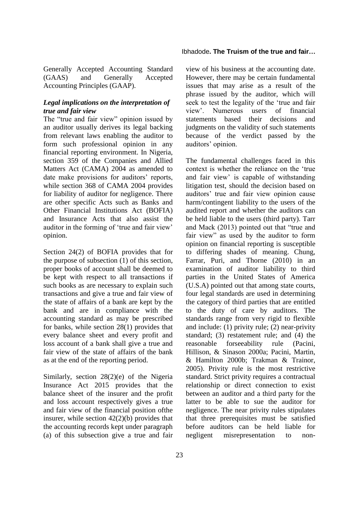Generally Accepted Accounting Standard (GAAS) and Generally Accepted Accounting Principles (GAAP).

# *Legal implications on the interpretation of true and fair view*

The "true and fair view" opinion issued by an auditor usually derives its legal backing from relevant laws enabling the auditor to form such professional opinion in any financial reporting environment. In Nigeria, section 359 of the Companies and Allied Matters Act (CAMA) 2004 as amended to date make provisions for auditors' reports, while section 368 of CAMA 2004 provides for liability of auditor for negligence. There are other specific Acts such as Banks and Other Financial Institutions Act (BOFIA) and Insurance Acts that also assist the auditor in the forming of "true and fair view" opinion.

Section 24(2) of BOFIA provides that for the purpose of subsection (1) of this section, proper books of account shall be deemed to be kept with respect to all transactions if such books as are necessary to explain such transactions and give a true and fair view of the state of affairs of a bank are kept by the bank and are in compliance with the accounting standard as may be prescribed for banks, while section 28(1) provides that every balance sheet and every profit and loss account of a bank shall give a true and fair view of the state of affairs of the bank as at the end of the reporting period.

Similarly, section 28(2)(e) of the Nigeria Insurance Act 2015 provides that the balance sheet of the insurer and the profit and loss account respectively gives a true and fair view of the financial position ofthe insurer, while section  $42(2)(b)$  provides that the accounting records kept under paragraph (a) of this subsection give a true and fair view of his business at the accounting date. However, there may be certain fundamental issues that may arise as a result of the phrase issued by the auditor, which will seek to test the legality of the "true and fair view". Numerous users of financial statements based their decisions and judgments on the validity of such statements because of the verdict passed by the auditors' opinion.

The fundamental challenges faced in this context is whether the reliance on the "true and fair view" is capable of withstanding litigation test, should the decision based on auditors" true and fair view opinion cause harm/contingent liability to the users of the audited report and whether the auditors can be held liable to the users (third party). Tarr and Mack (2013) pointed out that "true and fair view" as used by the auditor to form opinion on financial reporting is susceptible to differing shades of meaning. Chung, Farrar, Puri, and Thorne (2010) in an examination of auditor liability to third parties in the United States of America (U.S.A) pointed out that among state courts, four legal standards are used in determining the category of third parties that are entitled to the duty of care by auditors. The standards range from very rigid to flexible and include: (1) privity rule; (2) near-privity standard; (3) restatement rule; and (4) the reasonable forseeability rule (Pacini, Hillison, & Sinason 2000a; Pacini, Martin, & Hamilton 2000b; Trakman & Trainor, 2005). Privity rule is the most restrictive standard. Strict privity requires a contractual relationship or direct connection to exist between an auditor and a third party for the latter to be able to sue the auditor for negligence. The near privity rules stipulates that three prerequisites must be satisfied before auditors can be held liable for negligent misrepresentation to non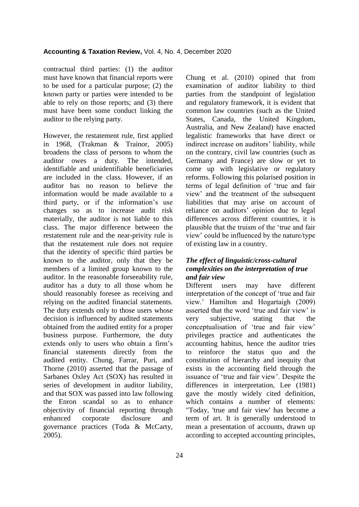contractual third parties: (1) the auditor must have known that financial reports were to be used for a particular purpose; (2) the known party or parties were intended to be able to rely on those reports; and (3) there must have been some conduct linking the auditor to the relying party.

However, the restatement rule, first applied in 1968, (Trakman & Trainor, 2005) broadens the class of persons to whom the auditor owes a duty. The intended, identifiable and unidentifiable beneficiaries are included in the class. However, if an auditor has no reason to believe the information would be made available to a third party, or if the information"s use changes so as to increase audit risk materially, the auditor is not liable to this class. The major difference between the restatement rule and the near-privity rule is that the restatement rule does not require that the identity of specific third parties be known to the auditor, only that they be members of a limited group known to the auditor. In the reasonable forseeability rule, auditor has a duty to all those whom he should reasonably foresee as receiving and relying on the audited financial statements. The duty extends only to those users whose decision is influenced by audited statements obtained from the audited entity for a proper business purpose. Furthermore, the duty extends only to users who obtain a firm"s financial statements directly from the audited entity. Chung, Farrar, Puri, and Thorne (2010) asserted that the passage of Sarbanes Oxley Act (SOX) has resulted in series of development in auditor liability, and that SOX was passed into law following the Enron scandal so as to enhance objectivity of financial reporting through enhanced corporate disclosure and governance practices (Toda & McCarty, 2005).

Chung et al. (2010) opined that from examination of auditor liability to third parties from the standpoint of legislation and regulatory framework, it is evident that common law countries (such as the United States, Canada, the United Kingdom, Australia, and New Zealand) have enacted legalistic frameworks that have direct or indirect increase on auditors' liability, while on the contrary, civil law countries (such as Germany and France) are slow or yet to come up with legislative or regulatory reforms. Following this polarised position in terms of legal definition of "true and fair view" and the treatment of the subsequent liabilities that may arise on account of reliance on auditors" opinion due to legal differences across different countries, it is plausible that the truism of the "true and fair view" could be influenced by the nature/type of existing law in a country.

# *The effect of linguistic/cross-cultural complexities on the interpretation of true and fair view*

Different users may have different interpretation of the concept of "true and fair view." Hamilton and Hogartaigh (2009) asserted that the word 'true and fair view' is very subjective, stating that the conceptualisation of "true and fair view" privileges practice and authenticates the accounting habitus, hence the auditor tries to reinforce the status quo and the constitution of hierarchy and inequity that exists in the accounting field through the issuance of "true and fair view". Despite the differences in interpretation, Lee (1981) gave the mostly widely cited definition, which contains a number of elements: "Today, 'true and fair view' has become a term of art. It is generally understood to mean a presentation of accounts, drawn up according to accepted accounting principles,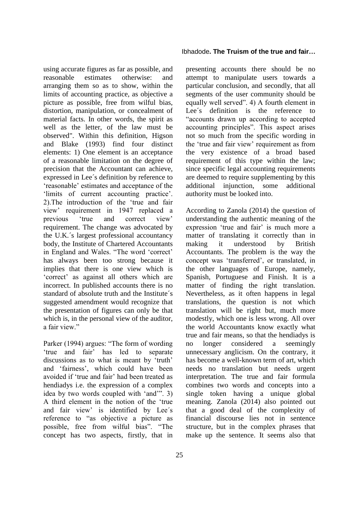using accurate figures as far as possible, and reasonable estimates otherwise: and arranging them so as to show, within the limits of accounting practice, as objective a picture as possible, free from wilful bias, distortion, manipulation, or concealment of material facts. In other words, the spirit as well as the letter, of the law must be observed". Within this definition, Higson and Blake (1993) find four distinct elements: 1) One element is an acceptance of a reasonable limitation on the degree of precision that the Accountant can achieve, expressed in Lee´s definition by reference to 'reasonable' estimates and acceptance of the 'limits of current accounting practice'. 2).The introduction of the "true and fair view" requirement in 1947 replaced a previous "true and correct view" requirement. The change was advocated by the U.K.´s largest professional accountancy body, the Institute of Chartered Accountants in England and Wales. "The word "correct" has always been too strong because it implies that there is one view which is "correct" as against all others which are incorrect. In published accounts there is no standard of absolute truth and the Institute´s suggested amendment would recognize that the presentation of figures can only be that which is, in the personal view of the auditor, a fair view"

Parker (1994) argues: "The form of wording "true and fair" has led to separate discussions as to what is meant by 'truth' and "fairness", which could have been avoided if "true and fair" had been treated as hendiadys i.e. the expression of a complex idea by two words coupled with "and"". 3) A third element in the notion of the "true and fair view' is identified by Lee's reference to "as objective a picture as possible, free from wilful bias". "The concept has two aspects, firstly, that in presenting accounts there should be no attempt to manipulate users towards a particular conclusion, and secondly, that all segments of the user community should be equally well served". 4) A fourth element in Lee's definition is the reference to "accounts drawn up according to accepted accounting principles". This aspect arises not so much from the specific wording in the "true and fair view" requirement as from the very existence of a broad based requirement of this type within the law; since specific legal accounting requirements are deemed to require supplementing by this additional injunction, some additional authority must be looked into.

According to Zanola (2014) the question of understanding the authentic meaning of the expression 'true and fair' is much more a matter of translating it correctly than in making it understood by British Accountants. The problem is the way the concept was "transferred", or translated, in the other languages of Europe, namely, Spanish, Portuguese and Finish. It is a matter of finding the right translation. Nevertheless, as it often happens in legal translations, the question is not which translation will be right but, much more modestly, which one is less wrong. All over the world Accountants know exactly what true and fair means, so that the hendiadys is no longer considered a seemingly unnecessary anglicism. On the contrary, it has become a well-known term of art, which needs no translation but needs urgent interpretation. The true and fair formula combines two words and concepts into a single token having a unique global meaning. Zanola (2014) also pointed out that a good deal of the complexity of financial discourse lies not in sentence structure, but in the complex phrases that make up the sentence. It seems also that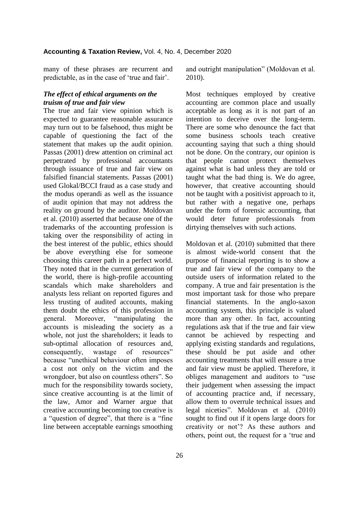many of these phrases are recurrent and predictable, as in the case of "true and fair".

## *The effect of ethical arguments on the truism of true and fair view*

The true and fair view opinion which is expected to guarantee reasonable assurance may turn out to be falsehood, thus might be capable of questioning the fact of the statement that makes up the audit opinion. Passas (2001) drew attention on criminal act perpetrated by professional accountants through issuance of true and fair view on falsified financial statements. Passas (2001) used Glokal/BCCI fraud as a case study and the modus operandi as well as the issuance of audit opinion that may not address the reality on ground by the auditor. Moldovan et al. (2010) asserted that because one of the trademarks of the accounting profession is taking over the responsibility of acting in the best interest of the public, ethics should be above everything else for someone choosing this career path in a perfect world. They noted that in the current generation of the world, there is high-profile accounting scandals which make shareholders and analysts less reliant on reported figures and less trusting of audited accounts, making them doubt the ethics of this profession in general. Moreover, "manipulating the accounts is misleading the society as a whole, not just the shareholders; it leads to sub-optimal allocation of resources and, consequently, wastage of resources" because "unethical behaviour often imposes a cost not only on the victim and the wrongdoer, but also on countless others". So much for the responsibility towards society, since creative accounting is at the limit of the law, Amor and Warner argue that creative accounting becoming too creative is a "question of degree", that there is a "fine line between acceptable earnings smoothing

and outright manipulation" (Moldovan et al. 2010).

Most techniques employed by creative accounting are common place and usually acceptable as long as it is not part of an intention to deceive over the long-term. There are some who denounce the fact that some business schools teach creative accounting saying that such a thing should not be done. On the contrary, our opinion is that people cannot protect themselves against what is bad unless they are told or taught what the bad thing is. We do agree, however, that creative accounting should not be taught with a positivist approach to it, but rather with a negative one, perhaps under the form of forensic accounting, that would deter future professionals from dirtying themselves with such actions.

Moldovan et al. (2010) submitted that there is almost wide-world consent that the purpose of financial reporting is to show a true and fair view of the company to the outside users of information related to the company. A true and fair presentation is the most important task for those who prepare financial statements. In the anglo-saxon accounting system, this principle is valued more than any other. In fact, accounting regulations ask that if the true and fair view cannot be achieved by respecting and applying existing standards and regulations, these should be put aside and other accounting treatments that will ensure a true and fair view must be applied. Therefore, it obliges management and auditors to "use their judgement when assessing the impact of accounting practice and, if necessary, allow them to overrule technical issues and legal niceties". Moldovan et al. (2010) sought to find out if it opens large doors for creativity or not"? As these authors and others, point out, the request for a "true and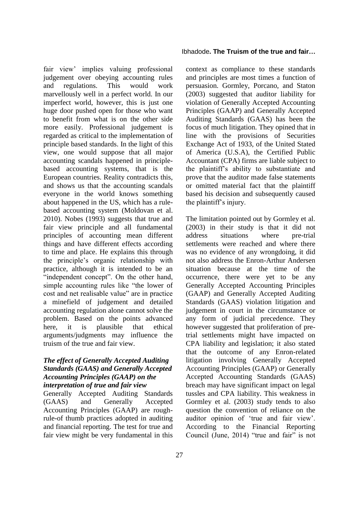fair view" implies valuing professional judgement over obeying accounting rules and regulations. This would work marvellously well in a perfect world. In our imperfect world, however, this is just one huge door pushed open for those who want to benefit from what is on the other side more easily. Professional judgement is regarded as critical to the implementation of principle based standards. In the light of this view, one would suppose that all major accounting scandals happened in principlebased accounting systems, that is the European countries. Reality contradicts this, and shows us that the accounting scandals everyone in the world knows something about happened in the US, which has a rulebased accounting system (Moldovan et al. 2010). Nobes (1993) suggests that true and fair view principle and all fundamental principles of accounting mean different things and have different effects according to time and place. He explains this through the principle"s organic relationship with practice, although it is intended to be an "independent concept". On the other hand, simple accounting rules like "the lower of cost and net realisable value" are in practice a minefield of judgement and detailed accounting regulation alone cannot solve the problem. Based on the points advanced here, it is plausible that ethical arguments/judgments may influence the truism of the true and fair view.

# *The effect of Generally Accepted Auditing Standards (GAAS) and Generally Accepted Accounting Principles (GAAP) on the interpretation of true and fair view*

Generally Accepted Auditing Standards (GAAS) and Generally Accepted Accounting Principles (GAAP) are roughrule-of thumb practices adopted in auditing and financial reporting. The test for true and fair view might be very fundamental in this context as compliance to these standards and principles are most times a function of persuasion. Gormley, Porcano, and Staton (2003) suggested that auditor liability for violation of Generally Accepted Accounting Principles (GAAP) and Generally Accepted Auditing Standards (GAAS) has been the focus of much litigation. They opined that in line with the provisions of Securities Exchange Act of 1933, of the United Stated of America (U.S.A), the Certified Public Accountant (CPA) firms are liable subject to the plaintiff"s ability to substantiate and prove that the auditor made false statements or omitted material fact that the plaintiff based his decision and subsequently caused the plaintiff"s injury.

The limitation pointed out by Gormley et al. (2003) in their study is that it did not address situations where pre-trial settlements were reached and where there was no evidence of any wrongdoing, it did not also address the Enron-Arthur Andersen situation because at the time of the occurrence, there were yet to be any Generally Accepted Accounting Principles (GAAP) and Generally Accepted Auditing Standards (GAAS) violation litigation and judgement in court in the circumstance or any form of judicial precedence. They however suggested that proliferation of pretrial settlements might have impacted on CPA liability and legislation; it also stated that the outcome of any Enron-related litigation involving Generally Accepted Accounting Principles (GAAP) or Generally Accepted Accounting Standards (GAAS) breach may have significant impact on legal tussles and CPA liability. This weakness in Gormley et al. (2003) study tends to also question the convention of reliance on the auditor opinion of "true and fair view". According to the Financial Reporting Council (June, 2014) "true and fair" is not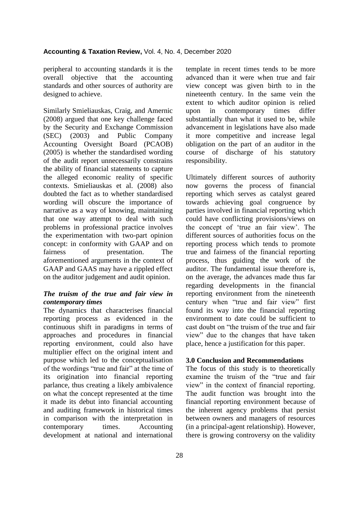#### **Accounting & Taxation Review,** Vol. 4, No. 4, December 2020

peripheral to accounting standards it is the overall objective that the accounting standards and other sources of authority are designed to achieve.

Similarly Smieliauskas, Craig, and Amernic (2008) argued that one key challenge faced by the Security and Exchange Commission (SEC) (2003) and Public Company Accounting Oversight Board (PCAOB) (2005) is whether the standardised wording of the audit report unnecessarily constrains the ability of financial statements to capture the alleged economic reality of specific contexts. Smieliauskas et al. (2008) also doubted the fact as to whether standardised wording will obscure the importance of narrative as a way of knowing, maintaining that one way attempt to deal with such problems in professional practice involves the experimentation with two-part opinion concept: in conformity with GAAP and on fairness of presentation. The aforementioned arguments in the context of GAAP and GAAS may have a rippled effect on the auditor judgement and audit opinion.

# *The truism of the true and fair view in contemporary times*

The dynamics that characterises financial reporting process as evidenced in the continuous shift in paradigms in terms of approaches and procedures in financial reporting environment, could also have multiplier effect on the original intent and purpose which led to the conceptualisation of the wordings "true and fair" at the time of its origination into financial reporting parlance, thus creating a likely ambivalence on what the concept represented at the time it made its debut into financial accounting and auditing framework in historical times in comparison with the interpretation in contemporary times. Accounting development at national and international

template in recent times tends to be more advanced than it were when true and fair view concept was given birth to in the nineteenth century. In the same vein the extent to which auditor opinion is relied upon in contemporary times differ substantially than what it used to be, while advancement in legislations have also made it more competitive and increase legal obligation on the part of an auditor in the course of discharge of his statutory responsibility.

Ultimately different sources of authority now governs the process of financial reporting which serves as catalyst geared towards achieving goal congruence by parties involved in financial reporting which could have conflicting provisions/views on the concept of "true an fair view". The different sources of authorities focus on the reporting process which tends to promote true and fairness of the financial reporting process, thus guiding the work of the auditor. The fundamental issue therefore is, on the average, the advances made thus far regarding developments in the financial reporting environment from the nineteenth century when "true and fair view" first found its way into the financial reporting environment to date could be sufficient to cast doubt on "the truism of the true and fair view" due to the changes that have taken place, hence a justification for this paper.

#### **3.0 Conclusion and Recommendations**

The focus of this study is to theoretically examine the truism of the "true and fair view" in the context of financial reporting. The audit function was brought into the financial reporting environment because of the inherent agency problems that persist between owners and managers of resources (in a principal-agent relationship). However, there is growing controversy on the validity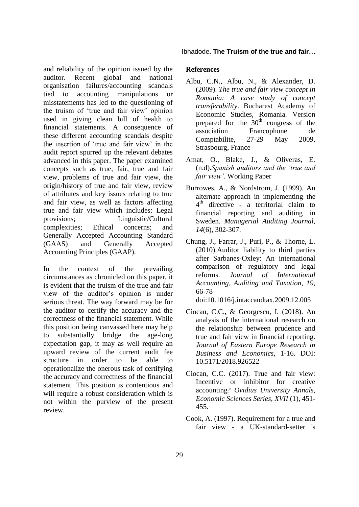and reliability of the opinion issued by the auditor. Recent global and national organisation failures/accounting scandals tied to accounting manipulations or misstatements has led to the questioning of the truism of "true and fair view" opinion used in giving clean bill of health to financial statements. A consequence of these different accounting scandals despite the insertion of "true and fair view" in the audit report spurred up the relevant debates advanced in this paper. The paper examined concepts such as true, fair, true and fair view, problems of true and fair view, the origin/history of true and fair view, review of attributes and key issues relating to true and fair view, as well as factors affecting true and fair view which includes: Legal provisions; Linguistic/Cultural complexities; Ethical concerns; and Generally Accepted Accounting Standard (GAAS) and Generally Accepted Accounting Principles (GAAP).

In the context of the prevailing circumstances as chronicled on this paper, it is evident that the truism of the true and fair view of the auditor"s opinion is under serious threat. The way forward may be for the auditor to certify the accuracy and the correctness of the financial statement. While this position being canvassed here may help to substantially bridge the age-long expectation gap, it may as well require an upward review of the current audit fee structure in order to be able to operationalize the onerous task of certifying the accuracy and correctness of the financial statement. This position is contentious and will require a robust consideration which is not within the purview of the present review.

#### Ibhadode**. The Truism of the true and fair…**

#### **References**

- Albu, C.N., Albu, N., & Alexander, D. (2009). *The true and fair view concept in Romania: A case study of concept transferability*. Bucharest Academy of Economic Studies, Romania. Version prepared for the  $30<sup>th</sup>$  congress of the association Francophone de Comptabilite, 27-29 May 2009, Strasbourg, France
- Amat, O., Blake, J., & Oliveras, E. (n.d).*Spanish auditors and the "true and fair view"*. Working Paper
- Burrowes, A., & Nordstrom, J. (1999). An alternate approach in implementing the 4 th directive - a territorial claim to financial reporting and auditing in Sweden. *Managerial Auditing Journal, 14*(6), 302-307.
- Chung, J., Farrar, J., Puri, P., & Thorne, L. (2010).Auditor liability to third parties after Sarbanes-Oxley: An international comparison of regulatory and legal reforms. *Journal of International Accounting, Auditing and Taxation, 19*, 66-78

doi:10.1016/j.intaccaudtax.2009.12.005

- Ciocan, C.C., & Georgescu, I. (2018). An analysis of the international research on the relationship between prudence and true and fair view in financial reporting. *Journal of Eastern Europe Research in Business and Economics,* 1-16. DOI: 10.5171/2018.926522
- Ciocan, C.C. (2017). True and fair view: Incentive or inhibitor for creative accounting? *Ovidius University Annals, Economic Sciences Series, XVII* (1), 451- 455.
- Cook, A. (1997). Requirement for a true and fair view - a UK-standard-setter 's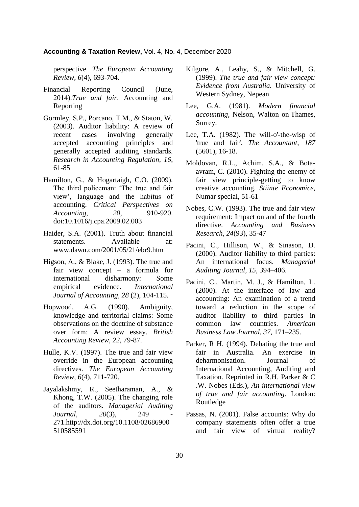#### **Accounting & Taxation Review,** Vol. 4, No. 4, December 2020

perspective. *The European Accounting Review*, *6*(4), 693-704.

- Financial Reporting Council (June, 2014).*True and fair*. Accounting and Reporting
- Gormley, S.P., Porcano, T.M., & Staton, W. (2003). Auditor liability: A review of recent cases involving generally accepted accounting principles and generally accepted auditing standards. *Research in Accounting Regulation, 16*, 61-85
- Hamilton, G., & Hogartaigh, C.O. (2009). The third policeman: "The true and fair view", language and the habitus of accounting. *Critical Perspectives on Accounting, 20*, 910-920. doi:10.1016/j.cpa.2009.02.003
- Haider, S.A. (2001). Truth about financial statements. Available at: www.dawn.com/2001/05/21/ebr9.htm
- Higson, A., & Blake, J. (1993). The true and fair view concept – a formula for international disharmony: Some empirical evidence. *International Journal of Accounting, 28* (2), 104-115.
- Hopwood, A.G. (1990). Ambiguity, knowledge and territorial claims: Some observations on the doctrine of substance over form: A review essay. *British Accounting Review*, *22*, 79-87.
- Hulle, K.V. (1997). The true and fair view override in the European accounting directives. *The European Accounting Review*, *6*(4), 711-720.
- Jayalakshmy, R., Seetharaman, A., & Khong, T.W. (2005). The changing role of the auditors. *Managerial Auditing Journal,* 20(3), 249 271.http://dx.doi.org/10.1108/02686900 510585591
- Kilgore, A., Leahy, S., & Mitchell, G. (1999). *The true and fair view concept: Evidence from Australia.* University of Western Sydney, Nepean
- Lee, G.A. (1981). *Modern financial accounting,* Nelson, Walton on Thames, Surrey.
- Lee, T.A. (1982). The will-o'-the-wisp of 'true and fair'. *The Accountant, 187* (5601), 16-18.
- Moldovan, R.L., Achim, S.A., & Botaavram, C. (2010). Fighting the enemy of fair view principle-getting to know creative accounting. *Stiinte Economice*, Numar special, 51-61
- Nobes, C.W. (1993). The true and fair view requirement: Impact on and of the fourth directive. *Accounting and Business Research, 24*(93), 35-47
- Pacini, C., Hillison, W., & Sinason, D. (2000). Auditor liability to third parties: An international focus. *Managerial Auditing Journal, 15*, 394–406.
- Pacini, C., Martin, M. J., & Hamilton, L. (2000). At the interface of law and accounting: An examination of a trend toward a reduction in the scope of auditor liability to third parties in common law countries. *American Business Law Journal, 37*, 171–235.
- Parker, R H. (1994). Debating the true and fair in Australia. An exercise in deharmonisation. Journal of International Accounting, Auditing and Taxation. Reprinted in R.H. Parker & C .W. Nobes (Eds.), *An international view of true and fair accounting*. London: Routledge
- Passas, N. (2001). False accounts: Why do company statements often offer a true and fair view of virtual reality?